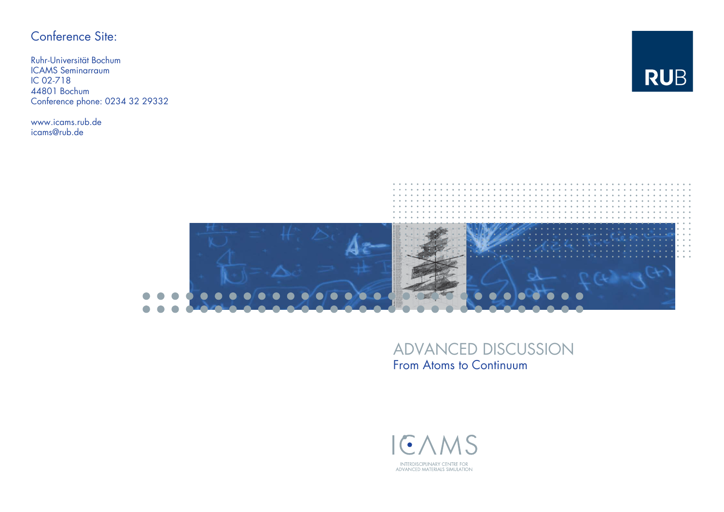## Conference Site:

Ruhr-Universität BochumICAMS SeminarraumIC 02-718 44801 BochumConference phone: 0234 32 29332

www.icams.rub.de icams@rub.de





## ADVANCED DISCUSSION From Atoms to Continuum